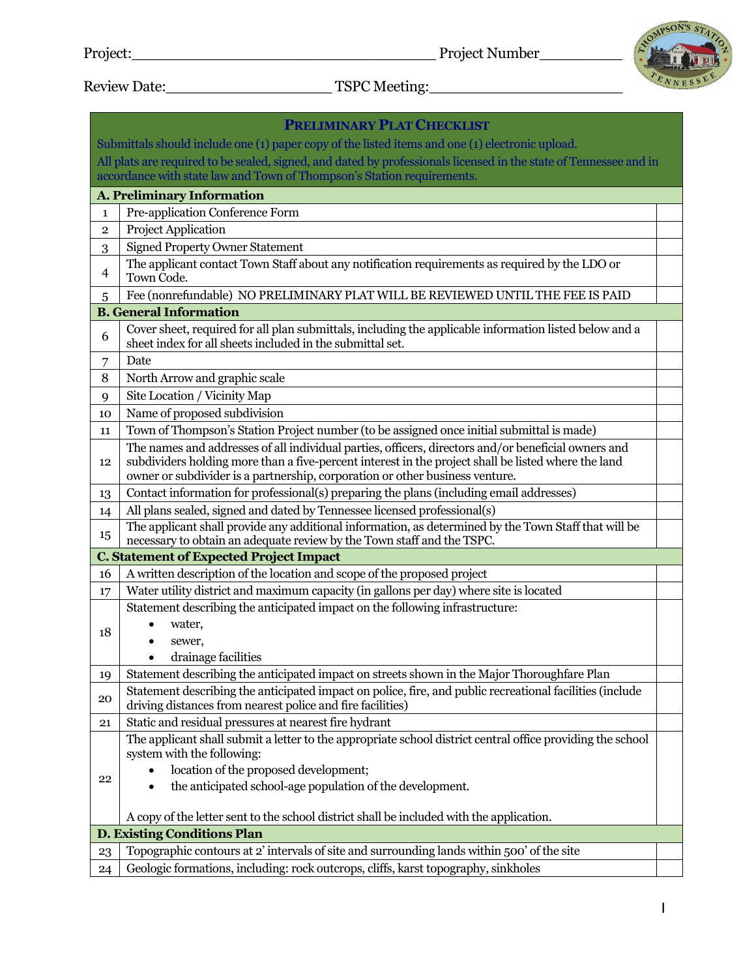

Review Date:\_\_\_\_\_\_\_\_\_\_\_\_\_\_\_\_\_\_ TSPC Meeting:\_\_\_\_\_\_\_\_\_\_\_\_\_\_\_\_\_\_\_\_\_

|                                                                                                 | <b>PRELIMINARY PLAT CHECKLIST</b>                                                                                                                                                                                                                                                          |  |  |  |
|-------------------------------------------------------------------------------------------------|--------------------------------------------------------------------------------------------------------------------------------------------------------------------------------------------------------------------------------------------------------------------------------------------|--|--|--|
| Submittals should include one (1) paper copy of the listed items and one (1) electronic upload. |                                                                                                                                                                                                                                                                                            |  |  |  |
|                                                                                                 | All plats are required to be sealed, signed, and dated by professionals licensed in the state of Tennessee and in                                                                                                                                                                          |  |  |  |
| accordance with state law and Town of Thompson's Station requirements.                          |                                                                                                                                                                                                                                                                                            |  |  |  |
| <b>A. Preliminary Information</b>                                                               |                                                                                                                                                                                                                                                                                            |  |  |  |
| $\mathbf{1}$                                                                                    | Pre-application Conference Form                                                                                                                                                                                                                                                            |  |  |  |
| $\overline{2}$                                                                                  | Project Application                                                                                                                                                                                                                                                                        |  |  |  |
| 3                                                                                               | <b>Signed Property Owner Statement</b>                                                                                                                                                                                                                                                     |  |  |  |
| 4                                                                                               | The applicant contact Town Staff about any notification requirements as required by the LDO or<br>Town Code.                                                                                                                                                                               |  |  |  |
| 5                                                                                               | Fee (nonrefundable) NO PRELIMINARY PLAT WILL BE REVIEWED UNTIL THE FEE IS PAID                                                                                                                                                                                                             |  |  |  |
|                                                                                                 | <b>B.</b> General Information                                                                                                                                                                                                                                                              |  |  |  |
| 6                                                                                               | Cover sheet, required for all plan submittals, including the applicable information listed below and a<br>sheet index for all sheets included in the submittal set.                                                                                                                        |  |  |  |
| 7                                                                                               | Date                                                                                                                                                                                                                                                                                       |  |  |  |
| 8                                                                                               | North Arrow and graphic scale                                                                                                                                                                                                                                                              |  |  |  |
| 9                                                                                               | Site Location / Vicinity Map                                                                                                                                                                                                                                                               |  |  |  |
| 10                                                                                              | Name of proposed subdivision                                                                                                                                                                                                                                                               |  |  |  |
| 11                                                                                              | Town of Thompson's Station Project number (to be assigned once initial submittal is made)                                                                                                                                                                                                  |  |  |  |
| 12                                                                                              | The names and addresses of all individual parties, officers, directors and/or beneficial owners and<br>subdividers holding more than a five-percent interest in the project shall be listed where the land<br>owner or subdivider is a partnership, corporation or other business venture. |  |  |  |
| 13                                                                                              | Contact information for professional(s) preparing the plans (including email addresses)                                                                                                                                                                                                    |  |  |  |
| 14                                                                                              | All plans sealed, signed and dated by Tennessee licensed professional(s)                                                                                                                                                                                                                   |  |  |  |
| 15                                                                                              | The applicant shall provide any additional information, as determined by the Town Staff that will be                                                                                                                                                                                       |  |  |  |
|                                                                                                 | necessary to obtain an adequate review by the Town staff and the TSPC.                                                                                                                                                                                                                     |  |  |  |
|                                                                                                 | <b>C. Statement of Expected Project Impact</b>                                                                                                                                                                                                                                             |  |  |  |
| 16                                                                                              | A written description of the location and scope of the proposed project                                                                                                                                                                                                                    |  |  |  |
| 17                                                                                              | Water utility district and maximum capacity (in gallons per day) where site is located                                                                                                                                                                                                     |  |  |  |
|                                                                                                 | Statement describing the anticipated impact on the following infrastructure:                                                                                                                                                                                                               |  |  |  |
| 18                                                                                              | water,<br>sewer,                                                                                                                                                                                                                                                                           |  |  |  |
|                                                                                                 | drainage facilities                                                                                                                                                                                                                                                                        |  |  |  |
| 19                                                                                              | Statement describing the anticipated impact on streets shown in the Major Thoroughfare Plan                                                                                                                                                                                                |  |  |  |
| 20                                                                                              | Statement describing the anticipated impact on police, fire, and public recreational facilities (include<br>driving distances from nearest police and fire facilities)                                                                                                                     |  |  |  |
| 21                                                                                              | Static and residual pressures at nearest fire hydrant                                                                                                                                                                                                                                      |  |  |  |
|                                                                                                 | The applicant shall submit a letter to the appropriate school district central office providing the school<br>system with the following:                                                                                                                                                   |  |  |  |
| 22                                                                                              | location of the proposed development;                                                                                                                                                                                                                                                      |  |  |  |
|                                                                                                 | the anticipated school-age population of the development.                                                                                                                                                                                                                                  |  |  |  |
|                                                                                                 |                                                                                                                                                                                                                                                                                            |  |  |  |
|                                                                                                 | A copy of the letter sent to the school district shall be included with the application.                                                                                                                                                                                                   |  |  |  |
| <b>D. Existing Conditions Plan</b>                                                              |                                                                                                                                                                                                                                                                                            |  |  |  |
| 23                                                                                              | Topographic contours at 2' intervals of site and surrounding lands within 500' of the site<br>Geologic formations, including: rock outcrops, cliffs, karst topography, sinkholes                                                                                                           |  |  |  |
| 24                                                                                              |                                                                                                                                                                                                                                                                                            |  |  |  |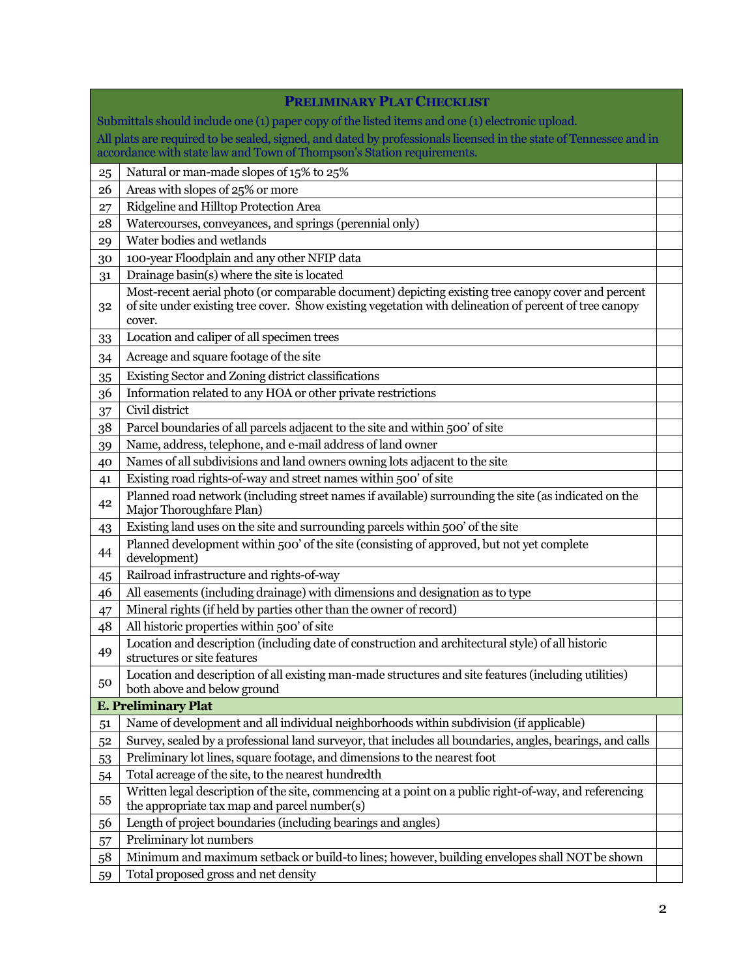|                                                                                                 | <b>PRELIMINARY PLAT CHECKLIST</b>                                                                                                                                                                                      |  |  |  |
|-------------------------------------------------------------------------------------------------|------------------------------------------------------------------------------------------------------------------------------------------------------------------------------------------------------------------------|--|--|--|
| Submittals should include one (1) paper copy of the listed items and one (1) electronic upload. |                                                                                                                                                                                                                        |  |  |  |
|                                                                                                 | All plats are required to be sealed, signed, and dated by professionals licensed in the state of Tennessee and in                                                                                                      |  |  |  |
|                                                                                                 | accordance with state law and Town of Thompson's Station requirements.                                                                                                                                                 |  |  |  |
| 25                                                                                              | Natural or man-made slopes of 15% to 25%                                                                                                                                                                               |  |  |  |
| 26                                                                                              | Areas with slopes of 25% or more                                                                                                                                                                                       |  |  |  |
| 27                                                                                              | Ridgeline and Hilltop Protection Area                                                                                                                                                                                  |  |  |  |
| 28                                                                                              | Watercourses, conveyances, and springs (perennial only)                                                                                                                                                                |  |  |  |
| 29                                                                                              | Water bodies and wetlands                                                                                                                                                                                              |  |  |  |
| 30                                                                                              | 100-year Floodplain and any other NFIP data                                                                                                                                                                            |  |  |  |
| 31                                                                                              | Drainage basin(s) where the site is located                                                                                                                                                                            |  |  |  |
| 32                                                                                              | Most-recent aerial photo (or comparable document) depicting existing tree canopy cover and percent<br>of site under existing tree cover. Show existing vegetation with delineation of percent of tree canopy<br>cover. |  |  |  |
| 33                                                                                              | Location and caliper of all specimen trees                                                                                                                                                                             |  |  |  |
| 34                                                                                              | Acreage and square footage of the site                                                                                                                                                                                 |  |  |  |
| 35                                                                                              | Existing Sector and Zoning district classifications                                                                                                                                                                    |  |  |  |
| 36                                                                                              | Information related to any HOA or other private restrictions                                                                                                                                                           |  |  |  |
| 37                                                                                              | Civil district                                                                                                                                                                                                         |  |  |  |
| 38                                                                                              | Parcel boundaries of all parcels adjacent to the site and within 500' of site                                                                                                                                          |  |  |  |
| 39                                                                                              | Name, address, telephone, and e-mail address of land owner                                                                                                                                                             |  |  |  |
| 40                                                                                              | Names of all subdivisions and land owners owning lots adjacent to the site                                                                                                                                             |  |  |  |
| 41                                                                                              | Existing road rights-of-way and street names within 500' of site                                                                                                                                                       |  |  |  |
| 42                                                                                              | Planned road network (including street names if available) surrounding the site (as indicated on the<br>Major Thoroughfare Plan)                                                                                       |  |  |  |
| 43                                                                                              | Existing land uses on the site and surrounding parcels within 500' of the site                                                                                                                                         |  |  |  |
| 44                                                                                              | Planned development within 500' of the site (consisting of approved, but not yet complete<br>development)                                                                                                              |  |  |  |
| 45                                                                                              | Railroad infrastructure and rights-of-way                                                                                                                                                                              |  |  |  |
| 46                                                                                              | All easements (including drainage) with dimensions and designation as to type                                                                                                                                          |  |  |  |
| 47                                                                                              | Mineral rights (if held by parties other than the owner of record)                                                                                                                                                     |  |  |  |
| 48                                                                                              | All historic properties within 500' of site                                                                                                                                                                            |  |  |  |
| 49                                                                                              | Location and description (including date of construction and architectural style) of all historic<br>structures or site features                                                                                       |  |  |  |
| 50                                                                                              | Location and description of all existing man-made structures and site features (including utilities)<br>both above and below ground                                                                                    |  |  |  |
|                                                                                                 | <b>E. Preliminary Plat</b>                                                                                                                                                                                             |  |  |  |
| 51                                                                                              | Name of development and all individual neighborhoods within subdivision (if applicable)                                                                                                                                |  |  |  |
| 52                                                                                              | Survey, sealed by a professional land surveyor, that includes all boundaries, angles, bearings, and calls                                                                                                              |  |  |  |
| 53                                                                                              | Preliminary lot lines, square footage, and dimensions to the nearest foot                                                                                                                                              |  |  |  |
| 54                                                                                              | Total acreage of the site, to the nearest hundredth                                                                                                                                                                    |  |  |  |
| 55                                                                                              | Written legal description of the site, commencing at a point on a public right-of-way, and referencing<br>the appropriate tax map and parcel number(s)                                                                 |  |  |  |
| 56                                                                                              | Length of project boundaries (including bearings and angles)                                                                                                                                                           |  |  |  |
| 57                                                                                              | Preliminary lot numbers                                                                                                                                                                                                |  |  |  |
| 58                                                                                              | Minimum and maximum setback or build-to lines; however, building envelopes shall NOT be shown                                                                                                                          |  |  |  |
| 59                                                                                              | Total proposed gross and net density                                                                                                                                                                                   |  |  |  |